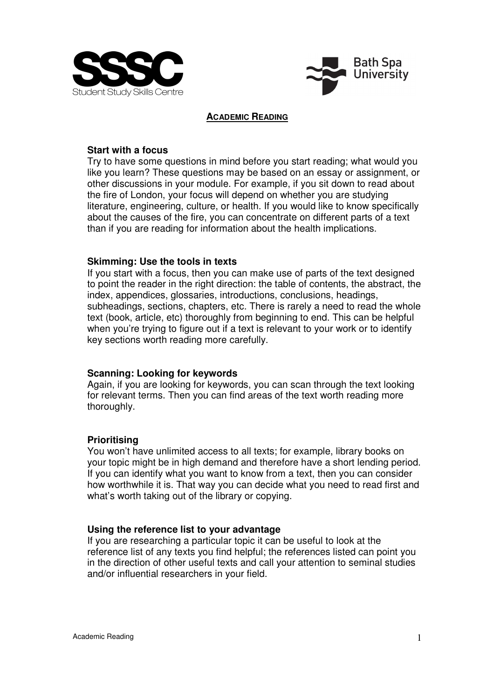



### **ACADEMIC READING**

## **Start with a focus**

Try to have some questions in mind before you start reading; what would you like you learn? These questions may be based on an essay or assignment, or other discussions in your module. For example, if you sit down to read about the fire of London, your focus will depend on whether you are studying literature, engineering, culture, or health. If you would like to know specifically about the causes of the fire, you can concentrate on different parts of a text than if you are reading for information about the health implications.

## **Skimming: Use the tools in texts**

If you start with a focus, then you can make use of parts of the text designed to point the reader in the right direction: the table of contents, the abstract, the index, appendices, glossaries, introductions, conclusions, headings, subheadings, sections, chapters, etc. There is rarely a need to read the whole text (book, article, etc) thoroughly from beginning to end. This can be helpful when you're trying to figure out if a text is relevant to your work or to identify key sections worth reading more carefully.

# **Scanning: Looking for keywords**

Again, if you are looking for keywords, you can scan through the text looking for relevant terms. Then you can find areas of the text worth reading more thoroughly.

# **Prioritising**

You won't have unlimited access to all texts; for example, library books on your topic might be in high demand and therefore have a short lending period. If you can identify what you want to know from a text, then you can consider how worthwhile it is. That way you can decide what you need to read first and what's worth taking out of the library or copying.

# **Using the reference list to your advantage**

If you are researching a particular topic it can be useful to look at the reference list of any texts you find helpful; the references listed can point you in the direction of other useful texts and call your attention to seminal studies and/or influential researchers in your field.